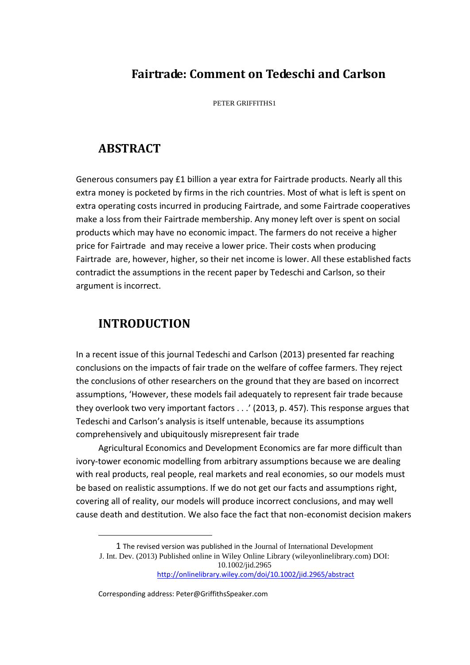# **Fairtrade: Comment on Tedeschi and Carlson**

PETER GRIFFITHS1

# **ABSTRACT**

Generous consumers pay £1 billion a year extra for Fairtrade products. Nearly all this extra money is pocketed by firms in the rich countries. Most of what is left is spent on extra operating costs incurred in producing Fairtrade, and some Fairtrade cooperatives make a loss from their Fairtrade membership. Any money left over is spent on social products which may have no economic impact. The farmers do not receive a higher price for Fairtrade and may receive a lower price. Their costs when producing Fairtrade are, however, higher, so their net income is lower. All these established facts contradict the assumptions in the recent paper by Tedeschi and Carlson, so their argument is incorrect.

# **INTRODUCTION**

 $\overline{a}$ 

In a recent issue of this journal Tedeschi and Carlson (2013) presented far reaching conclusions on the impacts of fair trade on the welfare of coffee farmers. They reject the conclusions of other researchers on the ground that they are based on incorrect assumptions, 'However, these models fail adequately to represent fair trade because they overlook two very important factors . . .' (2013, p. 457). This response argues that Tedeschi and Carlson's analysis is itself untenable, because its assumptions comprehensively and ubiquitously misrepresent fair trade

Agricultural Economics and Development Economics are far more difficult than ivory-tower economic modelling from arbitrary assumptions because we are dealing with real products, real people, real markets and real economies, so our models must be based on realistic assumptions. If we do not get our facts and assumptions right, covering all of reality, our models will produce incorrect conclusions, and may well cause death and destitution. We also face the fact that non-economist decision makers

<sup>1</sup> The revised version was published in the Journal of International Development J. Int. Dev. (2013) Published online in Wiley Online Library (wileyonlinelibrary.com) DOI: 10.1002/jid.2965

<http://onlinelibrary.wiley.com/doi/10.1002/jid.2965/abstract>

Corresponding address: Peter@GriffithsSpeaker.com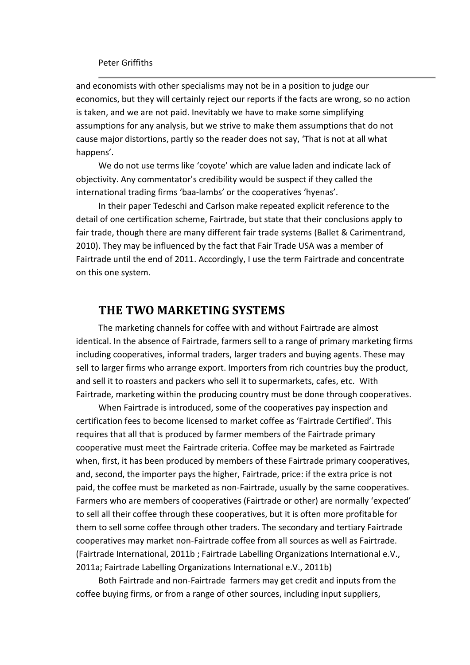and economists with other specialisms may not be in a position to judge our economics, but they will certainly reject our reports if the facts are wrong, so no action is taken, and we are not paid. Inevitably we have to make some simplifying assumptions for any analysis, but we strive to make them assumptions that do not cause major distortions, partly so the reader does not say, 'That is not at all what happens'.

We do not use terms like 'coyote' which are value laden and indicate lack of objectivity. Any commentator's credibility would be suspect if they called the international trading firms 'baa-lambs' or the cooperatives 'hyenas'.

In their paper Tedeschi and Carlson make repeated explicit reference to the detail of one certification scheme, Fairtrade, but state that their conclusions apply to fair trade, though there are many different fair trade systems (Ballet & Carimentrand, 2010). They may be influenced by the fact that Fair Trade USA was a member of Fairtrade until the end of 2011. Accordingly, I use the term Fairtrade and concentrate on this one system.

## **THE TWO MARKETING SYSTEMS**

The marketing channels for coffee with and without Fairtrade are almost identical. In the absence of Fairtrade, farmers sell to a range of primary marketing firms including cooperatives, informal traders, larger traders and buying agents. These may sell to larger firms who arrange export. Importers from rich countries buy the product, and sell it to roasters and packers who sell it to supermarkets, cafes, etc. With Fairtrade, marketing within the producing country must be done through cooperatives.

When Fairtrade is introduced, some of the cooperatives pay inspection and certification fees to become licensed to market coffee as 'Fairtrade Certified'. This requires that all that is produced by farmer members of the Fairtrade primary cooperative must meet the Fairtrade criteria. Coffee may be marketed as Fairtrade when, first, it has been produced by members of these Fairtrade primary cooperatives, and, second, the importer pays the higher, Fairtrade, price: if the extra price is not paid, the coffee must be marketed as non-Fairtrade, usually by the same cooperatives. Farmers who are members of cooperatives (Fairtrade or other) are normally 'expected' to sell all their coffee through these cooperatives, but it is often more profitable for them to sell some coffee through other traders. The secondary and tertiary Fairtrade cooperatives may market non-Fairtrade coffee from all sources as well as Fairtrade. (Fairtrade International, 2011b ; Fairtrade Labelling Organizations International e.V., 2011a; Fairtrade Labelling Organizations International e.V., 2011b)

Both Fairtrade and non-Fairtrade farmers may get credit and inputs from the coffee buying firms, or from a range of other sources, including input suppliers,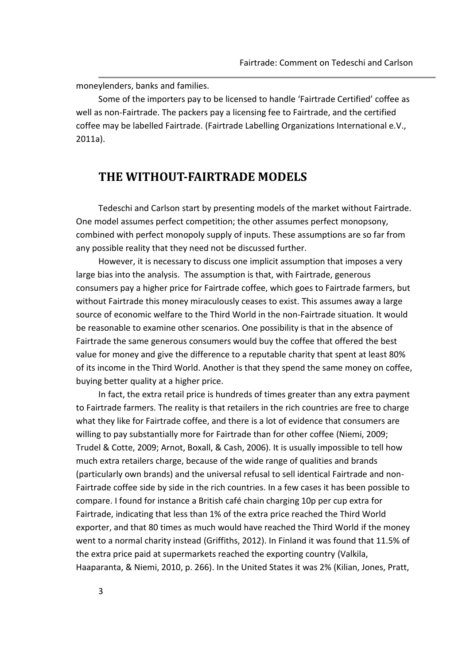moneylenders, banks and families.

Some of the importers pay to be licensed to handle 'Fairtrade Certified' coffee as well as non-Fairtrade. The packers pay a licensing fee to Fairtrade, and the certified coffee may be labelled Fairtrade. (Fairtrade Labelling Organizations International e.V., 2011a).

## **THE WITHOUT-FAIRTRADE MODELS**

Tedeschi and Carlson start by presenting models of the market without Fairtrade. One model assumes perfect competition; the other assumes perfect monopsony, combined with perfect monopoly supply of inputs. These assumptions are so far from any possible reality that they need not be discussed further.

However, it is necessary to discuss one implicit assumption that imposes a very large bias into the analysis. The assumption is that, with Fairtrade, generous consumers pay a higher price for Fairtrade coffee, which goes to Fairtrade farmers, but without Fairtrade this money miraculously ceases to exist. This assumes away a large source of economic welfare to the Third World in the non-Fairtrade situation. It would be reasonable to examine other scenarios. One possibility is that in the absence of Fairtrade the same generous consumers would buy the coffee that offered the best value for money and give the difference to a reputable charity that spent at least 80% of its income in the Third World. Another is that they spend the same money on coffee, buying better quality at a higher price.

In fact, the extra retail price is hundreds of times greater than any extra payment to Fairtrade farmers. The reality is that retailers in the rich countries are free to charge what they like for Fairtrade coffee, and there is a lot of evidence that consumers are willing to pay substantially more for Fairtrade than for other coffee (Niemi, 2009; Trudel & Cotte, 2009; Arnot, Boxall, & Cash, 2006). It is usually impossible to tell how much extra retailers charge, because of the wide range of qualities and brands (particularly own brands) and the universal refusal to sell identical Fairtrade and non-Fairtrade coffee side by side in the rich countries. In a few cases it has been possible to compare. I found for instance a British café chain charging 10p per cup extra for Fairtrade, indicating that less than 1% of the extra price reached the Third World exporter, and that 80 times as much would have reached the Third World if the money went to a normal charity instead (Griffiths, 2012). In Finland it was found that 11.5% of the extra price paid at supermarkets reached the exporting country (Valkila, Haaparanta, & Niemi, 2010, p. 266). In the United States it was 2% (Kilian, Jones, Pratt,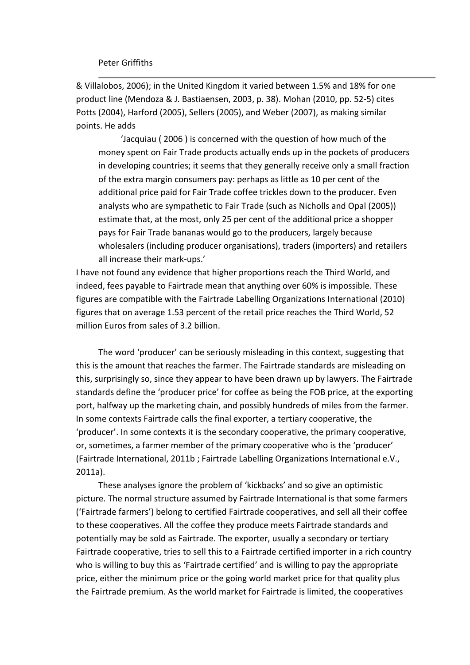& Villalobos, 2006); in the United Kingdom it varied between 1.5% and 18% for one product line (Mendoza & J. Bastiaensen, 2003, p. 38). Mohan (2010, pp. 52-5) cites Potts (2004), Harford (2005), Sellers (2005), and Weber (2007), as making similar points. He adds

'Jacquiau ( 2006 ) is concerned with the question of how much of the money spent on Fair Trade products actually ends up in the pockets of producers in developing countries; it seems that they generally receive only a small fraction of the extra margin consumers pay: perhaps as little as 10 per cent of the additional price paid for Fair Trade coffee trickles down to the producer. Even analysts who are sympathetic to Fair Trade (such as Nicholls and Opal (2005)) estimate that, at the most, only 25 per cent of the additional price a shopper pays for Fair Trade bananas would go to the producers, largely because wholesalers (including producer organisations), traders (importers) and retailers all increase their mark-ups.'

I have not found any evidence that higher proportions reach the Third World, and indeed, fees payable to Fairtrade mean that anything over 60% is impossible. These figures are compatible with the Fairtrade Labelling Organizations International (2010) figures that on average 1.53 percent of the retail price reaches the Third World, 52 million Euros from sales of 3.2 billion.

The word 'producer' can be seriously misleading in this context, suggesting that this is the amount that reaches the farmer. The Fairtrade standards are misleading on this, surprisingly so, since they appear to have been drawn up by lawyers. The Fairtrade standards define the 'producer price' for coffee as being the FOB price, at the exporting port, halfway up the marketing chain, and possibly hundreds of miles from the farmer. In some contexts Fairtrade calls the final exporter, a tertiary cooperative, the 'producer'. In some contexts it is the secondary cooperative, the primary cooperative, or, sometimes, a farmer member of the primary cooperative who is the 'producer' (Fairtrade International, 2011b ; Fairtrade Labelling Organizations International e.V., 2011a).

These analyses ignore the problem of 'kickbacks' and so give an optimistic picture. The normal structure assumed by Fairtrade International is that some farmers ('Fairtrade farmers') belong to certified Fairtrade cooperatives, and sell all their coffee to these cooperatives. All the coffee they produce meets Fairtrade standards and potentially may be sold as Fairtrade. The exporter, usually a secondary or tertiary Fairtrade cooperative, tries to sell this to a Fairtrade certified importer in a rich country who is willing to buy this as 'Fairtrade certified' and is willing to pay the appropriate price, either the minimum price or the going world market price for that quality plus the Fairtrade premium. As the world market for Fairtrade is limited, the cooperatives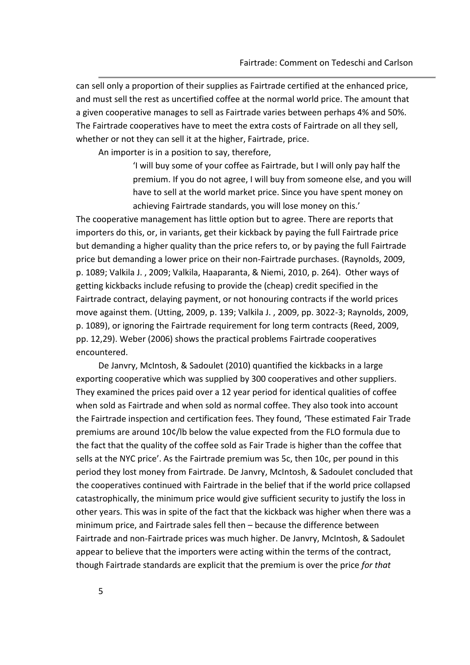can sell only a proportion of their supplies as Fairtrade certified at the enhanced price, and must sell the rest as uncertified coffee at the normal world price. The amount that a given cooperative manages to sell as Fairtrade varies between perhaps 4% and 50%. The Fairtrade cooperatives have to meet the extra costs of Fairtrade on all they sell, whether or not they can sell it at the higher, Fairtrade, price.

An importer is in a position to say, therefore,

'I will buy some of your coffee as Fairtrade, but I will only pay half the premium. If you do not agree, I will buy from someone else, and you will have to sell at the world market price. Since you have spent money on achieving Fairtrade standards, you will lose money on this.'

The cooperative management has little option but to agree. There are reports that importers do this, or, in variants, get their kickback by paying the full Fairtrade price but demanding a higher quality than the price refers to, or by paying the full Fairtrade price but demanding a lower price on their non-Fairtrade purchases. (Raynolds, 2009, p. 1089; Valkila J. , 2009; Valkila, Haaparanta, & Niemi, 2010, p. 264). Other ways of getting kickbacks include refusing to provide the (cheap) credit specified in the Fairtrade contract, delaying payment, or not honouring contracts if the world prices move against them. (Utting, 2009, p. 139; Valkila J. , 2009, pp. 3022-3; Raynolds, 2009, p. 1089), or ignoring the Fairtrade requirement for long term contracts (Reed, 2009, pp. 12,29). Weber (2006) shows the practical problems Fairtrade cooperatives encountered.

De Janvry, McIntosh, & Sadoulet (2010) quantified the kickbacks in a large exporting cooperative which was supplied by 300 cooperatives and other suppliers. They examined the prices paid over a 12 year period for identical qualities of coffee when sold as Fairtrade and when sold as normal coffee. They also took into account the Fairtrade inspection and certification fees. They found, 'These estimated Fair Trade premiums are around 10¢/lb below the value expected from the FLO formula due to the fact that the quality of the coffee sold as Fair Trade is higher than the coffee that sells at the NYC price'. As the Fairtrade premium was 5c, then 10c, per pound in this period they lost money from Fairtrade. De Janvry, McIntosh, & Sadoulet concluded that the cooperatives continued with Fairtrade in the belief that if the world price collapsed catastrophically, the minimum price would give sufficient security to justify the loss in other years. This was in spite of the fact that the kickback was higher when there was a minimum price, and Fairtrade sales fell then – because the difference between Fairtrade and non-Fairtrade prices was much higher. De Janvry, McIntosh, & Sadoulet appear to believe that the importers were acting within the terms of the contract, though Fairtrade standards are explicit that the premium is over the price *for that*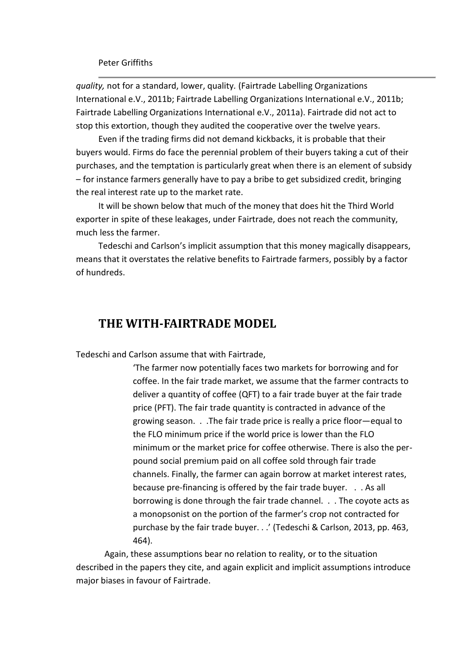*quality,* not for a standard, lower, quality*.* (Fairtrade Labelling Organizations International e.V., 2011b; Fairtrade Labelling Organizations International e.V., 2011b; Fairtrade Labelling Organizations International e.V., 2011a). Fairtrade did not act to stop this extortion, though they audited the cooperative over the twelve years.

Even if the trading firms did not demand kickbacks, it is probable that their buyers would. Firms do face the perennial problem of their buyers taking a cut of their purchases, and the temptation is particularly great when there is an element of subsidy – for instance farmers generally have to pay a bribe to get subsidized credit, bringing the real interest rate up to the market rate.

It will be shown below that much of the money that does hit the Third World exporter in spite of these leakages, under Fairtrade, does not reach the community, much less the farmer.

Tedeschi and Carlson's implicit assumption that this money magically disappears, means that it overstates the relative benefits to Fairtrade farmers, possibly by a factor of hundreds.

## **THE WITH-FAIRTRADE MODEL**

Tedeschi and Carlson assume that with Fairtrade,

'The farmer now potentially faces two markets for borrowing and for coffee. In the fair trade market, we assume that the farmer contracts to deliver a quantity of coffee (QFT) to a fair trade buyer at the fair trade price (PFT). The fair trade quantity is contracted in advance of the growing season. . .The fair trade price is really a price floor—equal to the FLO minimum price if the world price is lower than the FLO minimum or the market price for coffee otherwise. There is also the perpound social premium paid on all coffee sold through fair trade channels. Finally, the farmer can again borrow at market interest rates, because pre-financing is offered by the fair trade buyer. . . As all borrowing is done through the fair trade channel. . . The coyote acts as a monopsonist on the portion of the farmer's crop not contracted for purchase by the fair trade buyer. . .' (Tedeschi & Carlson, 2013, pp. 463, 464).

Again, these assumptions bear no relation to reality, or to the situation described in the papers they cite, and again explicit and implicit assumptions introduce major biases in favour of Fairtrade.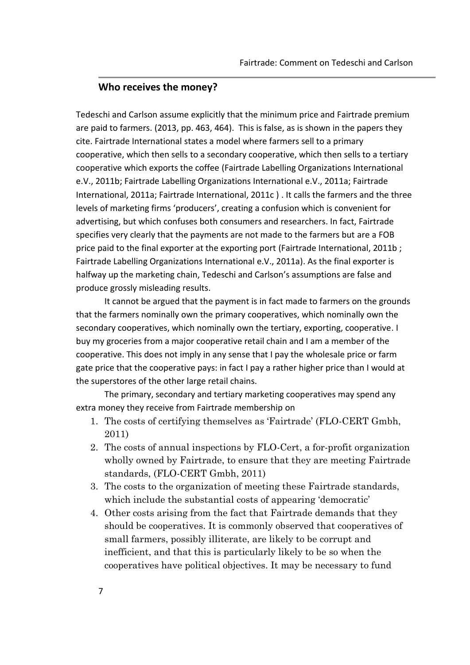## **Who receives the money?**

Tedeschi and Carlson assume explicitly that the minimum price and Fairtrade premium are paid to farmers. (2013, pp. 463, 464). This is false, as is shown in the papers they cite. Fairtrade International states a model where farmers sell to a primary cooperative, which then sells to a secondary cooperative, which then sells to a tertiary cooperative which exports the coffee (Fairtrade Labelling Organizations International e.V., 2011b; Fairtrade Labelling Organizations International e.V., 2011a; Fairtrade International, 2011a; Fairtrade International, 2011c ) . It calls the farmers and the three levels of marketing firms 'producers', creating a confusion which is convenient for advertising, but which confuses both consumers and researchers. In fact, Fairtrade specifies very clearly that the payments are not made to the farmers but are a FOB price paid to the final exporter at the exporting port (Fairtrade International, 2011b ; Fairtrade Labelling Organizations International e.V., 2011a). As the final exporter is halfway up the marketing chain, Tedeschi and Carlson's assumptions are false and produce grossly misleading results.

It cannot be argued that the payment is in fact made to farmers on the grounds that the farmers nominally own the primary cooperatives, which nominally own the secondary cooperatives, which nominally own the tertiary, exporting, cooperative. I buy my groceries from a major cooperative retail chain and I am a member of the cooperative. This does not imply in any sense that I pay the wholesale price or farm gate price that the cooperative pays: in fact I pay a rather higher price than I would at the superstores of the other large retail chains.

The primary, secondary and tertiary marketing cooperatives may spend any extra money they receive from Fairtrade membership on

- 1. The costs of certifying themselves as 'Fairtrade' (FLO-CERT Gmbh, 2011)
- 2. The costs of annual inspections by FLO-Cert, a for-profit organization wholly owned by Fairtrade, to ensure that they are meeting Fairtrade standards, (FLO-CERT Gmbh, 2011)
- 3. The costs to the organization of meeting these Fairtrade standards, which include the substantial costs of appearing 'democratic'
- 4. Other costs arising from the fact that Fairtrade demands that they should be cooperatives. It is commonly observed that cooperatives of small farmers, possibly illiterate, are likely to be corrupt and inefficient, and that this is particularly likely to be so when the cooperatives have political objectives. It may be necessary to fund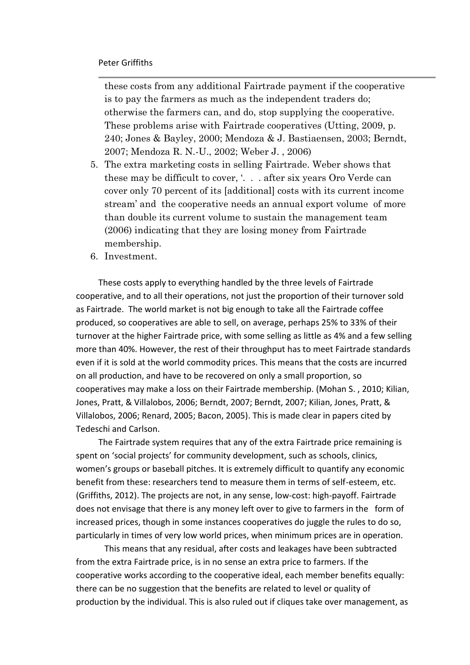these costs from any additional Fairtrade payment if the cooperative is to pay the farmers as much as the independent traders do; otherwise the farmers can, and do, stop supplying the cooperative. These problems arise with Fairtrade cooperatives (Utting, 2009, p. 240; Jones & Bayley, 2000; Mendoza & J. Bastiaensen, 2003; Berndt, 2007; Mendoza R. N.-U., 2002; Weber J. , 2006)

- 5. The extra marketing costs in selling Fairtrade. Weber shows that these may be difficult to cover, '. . . after six years Oro Verde can cover only 70 percent of its [additional] costs with its current income stream' and the cooperative needs an annual export volume of more than double its current volume to sustain the management team (2006) indicating that they are losing money from Fairtrade membership.
- 6. Investment.

These costs apply to everything handled by the three levels of Fairtrade cooperative, and to all their operations, not just the proportion of their turnover sold as Fairtrade. The world market is not big enough to take all the Fairtrade coffee produced, so cooperatives are able to sell, on average, perhaps 25% to 33% of their turnover at the higher Fairtrade price, with some selling as little as 4% and a few selling more than 40%. However, the rest of their throughput has to meet Fairtrade standards even if it is sold at the world commodity prices. This means that the costs are incurred on all production, and have to be recovered on only a small proportion, so cooperatives may make a loss on their Fairtrade membership. (Mohan S. , 2010; Kilian, Jones, Pratt, & Villalobos, 2006; Berndt, 2007; Berndt, 2007; Kilian, Jones, Pratt, & Villalobos, 2006; Renard, 2005; Bacon, 2005). This is made clear in papers cited by Tedeschi and Carlson.

The Fairtrade system requires that any of the extra Fairtrade price remaining is spent on 'social projects' for community development, such as schools, clinics, women's groups or baseball pitches. It is extremely difficult to quantify any economic benefit from these: researchers tend to measure them in terms of self-esteem, etc. (Griffiths, 2012). The projects are not, in any sense, low-cost: high-payoff. Fairtrade does not envisage that there is any money left over to give to farmers in the form of increased prices, though in some instances cooperatives do juggle the rules to do so, particularly in times of very low world prices, when minimum prices are in operation.

This means that any residual, after costs and leakages have been subtracted from the extra Fairtrade price, is in no sense an extra price to farmers. If the cooperative works according to the cooperative ideal, each member benefits equally: there can be no suggestion that the benefits are related to level or quality of production by the individual. This is also ruled out if cliques take over management, as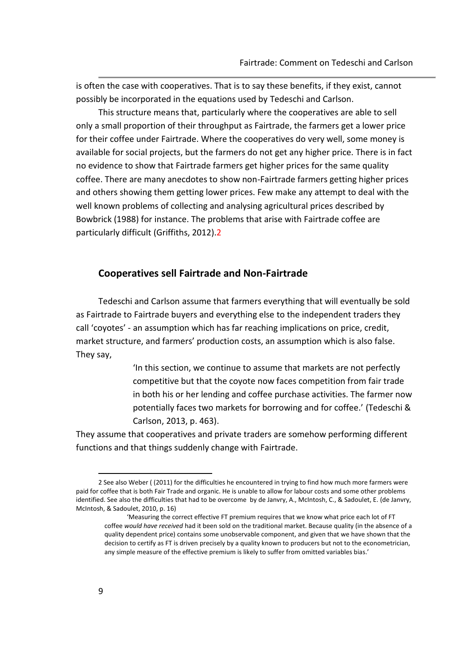is often the case with cooperatives. That is to say these benefits, if they exist, cannot possibly be incorporated in the equations used by Tedeschi and Carlson.

This structure means that, particularly where the cooperatives are able to sell only a small proportion of their throughput as Fairtrade, the farmers get a lower price for their coffee under Fairtrade. Where the cooperatives do very well, some money is available for social projects, but the farmers do not get any higher price. There is in fact no evidence to show that Fairtrade farmers get higher prices for the same quality coffee. There are many anecdotes to show non-Fairtrade farmers getting higher prices and others showing them getting lower prices. Few make any attempt to deal with the well known problems of collecting and analysing agricultural prices described by Bowbrick (1988) for instance. The problems that arise with Fairtrade coffee are particularly difficult (Griffiths, 2012).2

## **Cooperatives sell Fairtrade and Non-Fairtrade**

Tedeschi and Carlson assume that farmers everything that will eventually be sold as Fairtrade to Fairtrade buyers and everything else to the independent traders they call 'coyotes' - an assumption which has far reaching implications on price, credit, market structure, and farmers' production costs, an assumption which is also false. They say,

> 'In this section, we continue to assume that markets are not perfectly competitive but that the coyote now faces competition from fair trade in both his or her lending and coffee purchase activities. The farmer now potentially faces two markets for borrowing and for coffee.' (Tedeschi & Carlson, 2013, p. 463).

They assume that cooperatives and private traders are somehow performing different functions and that things suddenly change with Fairtrade.

 $\overline{a}$ 

<sup>2</sup> See also Weber ( (2011) for the difficulties he encountered in trying to find how much more farmers were paid for coffee that is both Fair Trade and organic. He is unable to allow for labour costs and some other problems identified. See also the difficulties that had to be overcome by de Janvry, A., McIntosh, C., & Sadoulet, E. (de Janvry, McIntosh, & Sadoulet, 2010, p. 16)

<sup>&#</sup>x27;Measuring the correct effective FT premium requires that we know what price each lot of FT coffee *would have received* had it been sold on the traditional market. Because quality (in the absence of a quality dependent price) contains some unobservable component, and given that we have shown that the decision to certify as FT is driven precisely by a quality known to producers but not to the econometrician, any simple measure of the effective premium is likely to suffer from omitted variables bias.'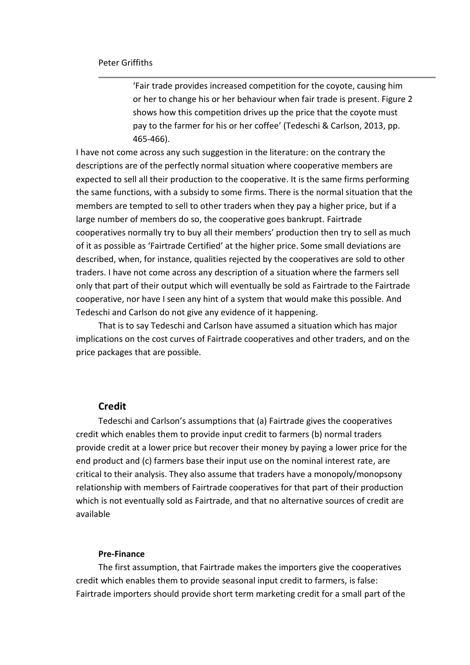'Fair trade provides increased competition for the coyote, causing him or her to change his or her behaviour when fair trade is present. Figure 2 shows how this competition drives up the price that the coyote must pay to the farmer for his or her coffee' (Tedeschi & Carlson, 2013, pp. 465-466).

I have not come across any such suggestion in the literature: on the contrary the descriptions are of the perfectly normal situation where cooperative members are expected to sell all their production to the cooperative. It is the same firms performing the same functions, with a subsidy to some firms. There is the normal situation that the members are tempted to sell to other traders when they pay a higher price, but if a large number of members do so, the cooperative goes bankrupt. Fairtrade cooperatives normally try to buy all their members' production then try to sell as much of it as possible as 'Fairtrade Certified' at the higher price. Some small deviations are described, when, for instance, qualities rejected by the cooperatives are sold to other traders. I have not come across any description of a situation where the farmers sell only that part of their output which will eventually be sold as Fairtrade to the Fairtrade cooperative, nor have I seen any hint of a system that would make this possible. And Tedeschi and Carlson do not give any evidence of it happening.

That is to say Tedeschi and Carlson have assumed a situation which has major implications on the cost curves of Fairtrade cooperatives and other traders, and on the price packages that are possible.

### **Credit**

Tedeschi and Carlson's assumptions that (a) Fairtrade gives the cooperatives credit which enables them to provide input credit to farmers (b) normal traders provide credit at a lower price but recover their money by paying a lower price for the end product and (c) farmers base their input use on the nominal interest rate, are critical to their analysis. They also assume that traders have a monopoly/monopsony relationship with members of Fairtrade cooperatives for that part of their production which is not eventually sold as Fairtrade, and that no alternative sources of credit are available

### **Pre-Finance**

The first assumption, that Fairtrade makes the importers give the cooperatives credit which enables them to provide seasonal input credit to farmers, is false: Fairtrade importers should provide short term marketing credit for a small part of the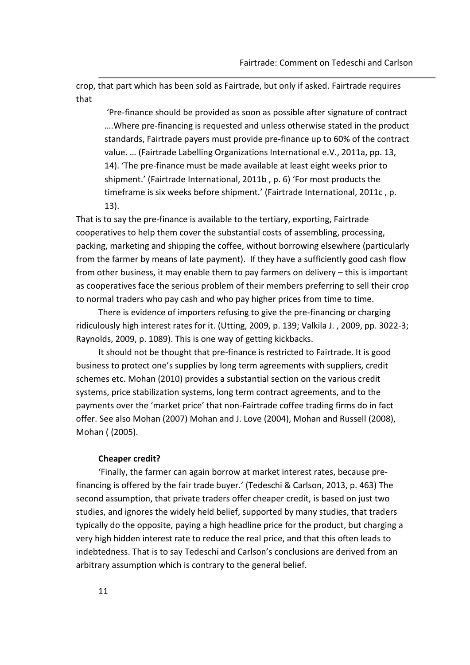crop, that part which has been sold as Fairtrade, but only if asked. Fairtrade requires that

'Pre-finance should be provided as soon as possible after signature of contract ….Where pre-financing is requested and unless otherwise stated in the product standards, Fairtrade payers must provide pre-finance up to 60% of the contract value. … (Fairtrade Labelling Organizations International e.V., 2011a, pp. 13, 14). 'The pre-finance must be made available at least eight weeks prior to shipment.' (Fairtrade International, 2011b , p. 6) 'For most products the timeframe is six weeks before shipment.' (Fairtrade International, 2011c , p. 13).

That is to say the pre-finance is available to the tertiary, exporting, Fairtrade cooperatives to help them cover the substantial costs of assembling, processing, packing, marketing and shipping the coffee, without borrowing elsewhere (particularly from the farmer by means of late payment). If they have a sufficiently good cash flow from other business, it may enable them to pay farmers on delivery – this is important as cooperatives face the serious problem of their members preferring to sell their crop to normal traders who pay cash and who pay higher prices from time to time.

There is evidence of importers refusing to give the pre-financing or charging ridiculously high interest rates for it. (Utting, 2009, p. 139; Valkila J. , 2009, pp. 3022-3; Raynolds, 2009, p. 1089). This is one way of getting kickbacks.

It should not be thought that pre-finance is restricted to Fairtrade. It is good business to protect one's supplies by long term agreements with suppliers, credit schemes etc. Mohan (2010) provides a substantial section on the various credit systems, price stabilization systems, long term contract agreements, and to the payments over the 'market price' that non-Fairtrade coffee trading firms do in fact offer. See also Mohan (2007) Mohan and J. Love (2004), Mohan and Russell (2008), Mohan ( (2005).

#### **Cheaper credit?**

'Finally, the farmer can again borrow at market interest rates, because prefinancing is offered by the fair trade buyer.' (Tedeschi & Carlson, 2013, p. 463) The second assumption, that private traders offer cheaper credit, is based on just two studies, and ignores the widely held belief, supported by many studies, that traders typically do the opposite, paying a high headline price for the product, but charging a very high hidden interest rate to reduce the real price, and that this often leads to indebtedness. That is to say Tedeschi and Carlson's conclusions are derived from an arbitrary assumption which is contrary to the general belief.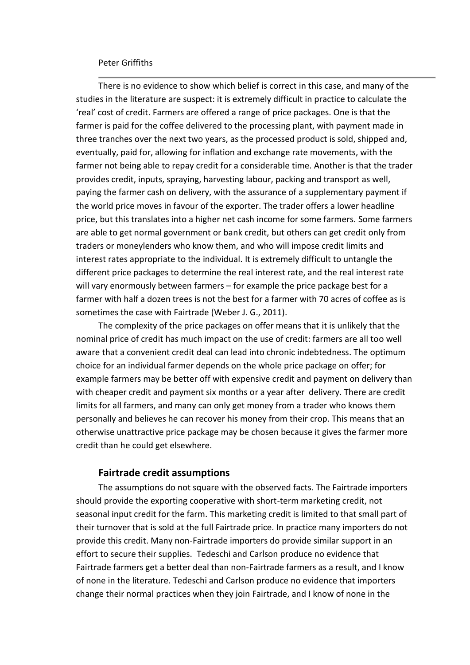There is no evidence to show which belief is correct in this case, and many of the studies in the literature are suspect: it is extremely difficult in practice to calculate the 'real' cost of credit. Farmers are offered a range of price packages. One is that the farmer is paid for the coffee delivered to the processing plant, with payment made in three tranches over the next two years, as the processed product is sold, shipped and, eventually, paid for, allowing for inflation and exchange rate movements, with the farmer not being able to repay credit for a considerable time. Another is that the trader provides credit, inputs, spraying, harvesting labour, packing and transport as well, paying the farmer cash on delivery, with the assurance of a supplementary payment if the world price moves in favour of the exporter. The trader offers a lower headline price, but this translates into a higher net cash income for some farmers. Some farmers are able to get normal government or bank credit, but others can get credit only from traders or moneylenders who know them, and who will impose credit limits and interest rates appropriate to the individual. It is extremely difficult to untangle the different price packages to determine the real interest rate, and the real interest rate will vary enormously between farmers – for example the price package best for a farmer with half a dozen trees is not the best for a farmer with 70 acres of coffee as is sometimes the case with Fairtrade (Weber J. G., 2011).

The complexity of the price packages on offer means that it is unlikely that the nominal price of credit has much impact on the use of credit: farmers are all too well aware that a convenient credit deal can lead into chronic indebtedness. The optimum choice for an individual farmer depends on the whole price package on offer; for example farmers may be better off with expensive credit and payment on delivery than with cheaper credit and payment six months or a year after delivery. There are credit limits for all farmers, and many can only get money from a trader who knows them personally and believes he can recover his money from their crop. This means that an otherwise unattractive price package may be chosen because it gives the farmer more credit than he could get elsewhere.

### **Fairtrade credit assumptions**

The assumptions do not square with the observed facts. The Fairtrade importers should provide the exporting cooperative with short-term marketing credit, not seasonal input credit for the farm. This marketing credit is limited to that small part of their turnover that is sold at the full Fairtrade price. In practice many importers do not provide this credit. Many non-Fairtrade importers do provide similar support in an effort to secure their supplies. Tedeschi and Carlson produce no evidence that Fairtrade farmers get a better deal than non-Fairtrade farmers as a result, and I know of none in the literature. Tedeschi and Carlson produce no evidence that importers change their normal practices when they join Fairtrade, and I know of none in the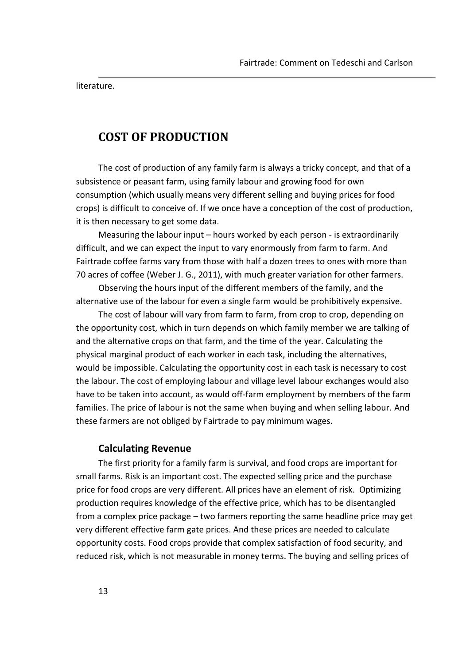literature.

## **COST OF PRODUCTION**

The cost of production of any family farm is always a tricky concept, and that of a subsistence or peasant farm, using family labour and growing food for own consumption (which usually means very different selling and buying prices for food crops) is difficult to conceive of. If we once have a conception of the cost of production, it is then necessary to get some data.

Measuring the labour input – hours worked by each person - is extraordinarily difficult, and we can expect the input to vary enormously from farm to farm. And Fairtrade coffee farms vary from those with half a dozen trees to ones with more than 70 acres of coffee (Weber J. G., 2011), with much greater variation for other farmers.

Observing the hours input of the different members of the family, and the alternative use of the labour for even a single farm would be prohibitively expensive.

The cost of labour will vary from farm to farm, from crop to crop, depending on the opportunity cost, which in turn depends on which family member we are talking of and the alternative crops on that farm, and the time of the year. Calculating the physical marginal product of each worker in each task, including the alternatives, would be impossible. Calculating the opportunity cost in each task is necessary to cost the labour. The cost of employing labour and village level labour exchanges would also have to be taken into account, as would off-farm employment by members of the farm families. The price of labour is not the same when buying and when selling labour. And these farmers are not obliged by Fairtrade to pay minimum wages.

### **Calculating Revenue**

The first priority for a family farm is survival, and food crops are important for small farms. Risk is an important cost. The expected selling price and the purchase price for food crops are very different. All prices have an element of risk. Optimizing production requires knowledge of the effective price, which has to be disentangled from a complex price package – two farmers reporting the same headline price may get very different effective farm gate prices. And these prices are needed to calculate opportunity costs. Food crops provide that complex satisfaction of food security, and reduced risk, which is not measurable in money terms. The buying and selling prices of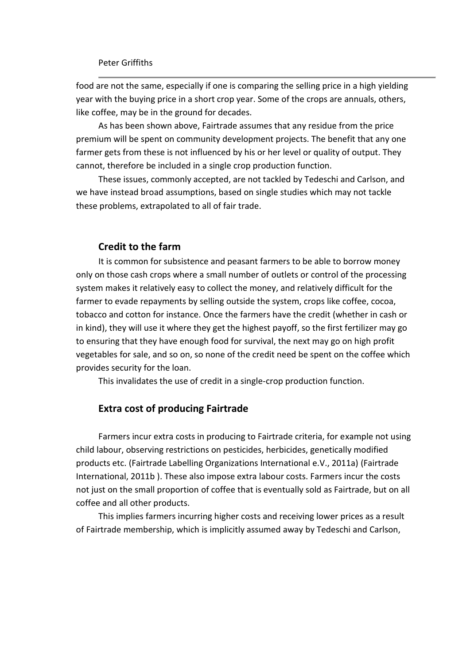food are not the same, especially if one is comparing the selling price in a high yielding year with the buying price in a short crop year. Some of the crops are annuals, others, like coffee, may be in the ground for decades.

As has been shown above, Fairtrade assumes that any residue from the price premium will be spent on community development projects. The benefit that any one farmer gets from these is not influenced by his or her level or quality of output. They cannot, therefore be included in a single crop production function.

These issues, commonly accepted, are not tackled by Tedeschi and Carlson, and we have instead broad assumptions, based on single studies which may not tackle these problems, extrapolated to all of fair trade.

### **Credit to the farm**

It is common for subsistence and peasant farmers to be able to borrow money only on those cash crops where a small number of outlets or control of the processing system makes it relatively easy to collect the money, and relatively difficult for the farmer to evade repayments by selling outside the system, crops like coffee, cocoa, tobacco and cotton for instance. Once the farmers have the credit (whether in cash or in kind), they will use it where they get the highest payoff, so the first fertilizer may go to ensuring that they have enough food for survival, the next may go on high profit vegetables for sale, and so on, so none of the credit need be spent on the coffee which provides security for the loan.

This invalidates the use of credit in a single-crop production function.

## **Extra cost of producing Fairtrade**

Farmers incur extra costs in producing to Fairtrade criteria, for example not using child labour, observing restrictions on pesticides, herbicides, genetically modified products etc. (Fairtrade Labelling Organizations International e.V., 2011a) (Fairtrade International, 2011b ). These also impose extra labour costs. Farmers incur the costs not just on the small proportion of coffee that is eventually sold as Fairtrade, but on all coffee and all other products.

This implies farmers incurring higher costs and receiving lower prices as a result of Fairtrade membership, which is implicitly assumed away by Tedeschi and Carlson,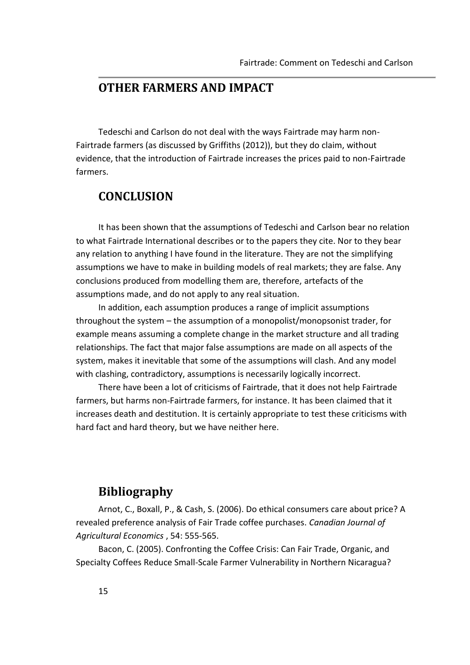## **OTHER FARMERS AND IMPACT**

Tedeschi and Carlson do not deal with the ways Fairtrade may harm non-Fairtrade farmers (as discussed by Griffiths (2012)), but they do claim, without evidence, that the introduction of Fairtrade increases the prices paid to non-Fairtrade farmers.

## **CONCLUSION**

It has been shown that the assumptions of Tedeschi and Carlson bear no relation to what Fairtrade International describes or to the papers they cite. Nor to they bear any relation to anything I have found in the literature. They are not the simplifying assumptions we have to make in building models of real markets; they are false. Any conclusions produced from modelling them are, therefore, artefacts of the assumptions made, and do not apply to any real situation.

In addition, each assumption produces a range of implicit assumptions throughout the system – the assumption of a monopolist/monopsonist trader, for example means assuming a complete change in the market structure and all trading relationships. The fact that major false assumptions are made on all aspects of the system, makes it inevitable that some of the assumptions will clash. And any model with clashing, contradictory, assumptions is necessarily logically incorrect.

There have been a lot of criticisms of Fairtrade, that it does not help Fairtrade farmers, but harms non-Fairtrade farmers, for instance. It has been claimed that it increases death and destitution. It is certainly appropriate to test these criticisms with hard fact and hard theory, but we have neither here.

## **Bibliography**

Arnot, C., Boxall, P., & Cash, S. (2006). Do ethical consumers care about price? A revealed preference analysis of Fair Trade coffee purchases. *Canadian Journal of Agricultural Economics* , 54: 555-565.

Bacon, C. (2005). Confronting the Coffee Crisis: Can Fair Trade, Organic, and Specialty Coffees Reduce Small-Scale Farmer Vulnerability in Northern Nicaragua?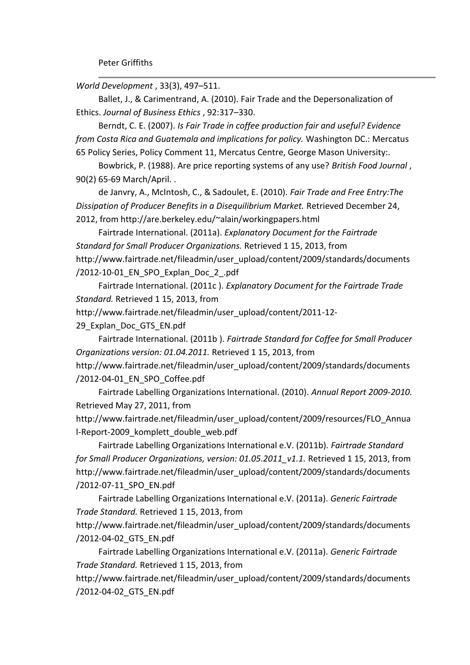*World Development* , 33(3), 497–511.

Ballet, J., & Carimentrand, A. (2010). Fair Trade and the Depersonalization of Ethics. *Journal of Business Ethics* , 92:317–330.

Berndt, C. E. (2007). *Is Fair Trade in coffee production fair and useful? Evidence from Costa Rica and Guatemala and implications for policy.* Washington DC.: Mercatus 65 Policy Series, Policy Comment 11, Mercatus Centre, George Mason University:.

Bowbrick, P. (1988). Are price reporting systems of any use? *British Food Journal* , 90(2) 65-69 March/April. .

de Janvry, A., McIntosh, C., & Sadoulet, E. (2010). *Fair Trade and Free Entry:The Dissipation of Producer Benefits in a Disequilibrium Market.* Retrieved December 24, 2012, from http://are.berkeley.edu/~alain/workingpapers.html

Fairtrade International. (2011a). *Explanatory Document for the Fairtrade Standard for Small Producer Organizations.* Retrieved 1 15, 2013, from http://www.fairtrade.net/fileadmin/user\_upload/content/2009/standards/documents /2012-10-01\_EN\_SPO\_Explan\_Doc\_2\_.pdf

Fairtrade International. (2011c ). *Explanatory Document for the Fairtrade Trade Standard.* Retrieved 1 15, 2013, from

http://www.fairtrade.net/fileadmin/user\_upload/content/2011-12-

29 Explan Doc GTS EN.pdf

Fairtrade International. (2011b ). *Fairtrade Standard for Coffee for Small Producer Organizations version: 01.04.2011.* Retrieved 1 15, 2013, from

http://www.fairtrade.net/fileadmin/user\_upload/content/2009/standards/documents /2012-04-01\_EN\_SPO\_Coffee.pdf

Fairtrade Labelling Organizations International. (2010). *Annual Report 2009-2010.* Retrieved May 27, 2011, from

http://www.fairtrade.net/fileadmin/user\_upload/content/2009/resources/FLO\_Annua l-Report-2009 komplett double web.pdf

Fairtrade Labelling Organizations International e.V. (2011b). *Fairtrade Standard for Small Producer Organizations, version: 01.05.2011 v1.1.* Retrieved 1 15, 2013, from http://www.fairtrade.net/fileadmin/user\_upload/content/2009/standards/documents /2012-07-11\_SPO\_EN.pdf

Fairtrade Labelling Organizations International e.V. (2011a). *Generic Fairtrade Trade Standard.* Retrieved 1 15, 2013, from

http://www.fairtrade.net/fileadmin/user\_upload/content/2009/standards/documents /2012-04-02\_GTS\_EN.pdf

Fairtrade Labelling Organizations International e.V. (2011a). *Generic Fairtrade Trade Standard.* Retrieved 1 15, 2013, from

http://www.fairtrade.net/fileadmin/user\_upload/content/2009/standards/documents /2012-04-02\_GTS\_EN.pdf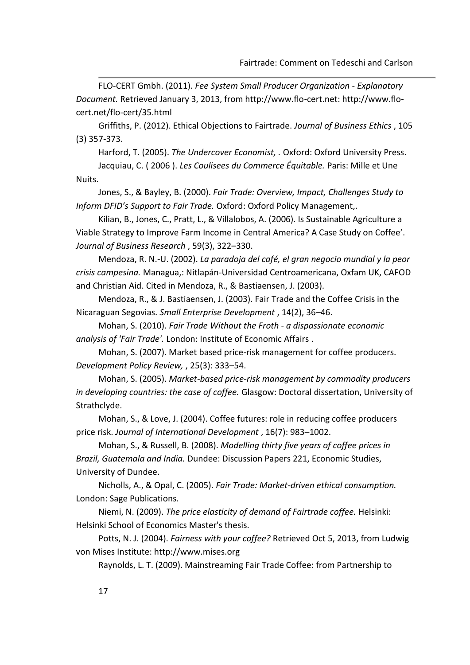FLO-CERT Gmbh. (2011). *Fee System Small Producer Organization - Explanatory Document.* Retrieved January 3, 2013, from http://www.flo-cert.net: http://www.flocert.net/flo-cert/35.html

Griffiths, P. (2012). Ethical Objections to Fairtrade. *Journal of Business Ethics* , 105 (3) 357-373.

Harford, T. (2005). *The Undercover Economist, .* Oxford: Oxford University Press. Jacquiau, C. ( 2006 ). *Les Coulisees du Commerce Équitable.* Paris: Mille et Une Nuits.

Jones, S., & Bayley, B. (2000). *Fair Trade: Overview, Impact, Challenges Study to Inform DFID's Support to Fair Trade.* Oxford: Oxford Policy Management,.

Kilian, B., Jones, C., Pratt, L., & Villalobos, A. (2006). Is Sustainable Agriculture a Viable Strategy to Improve Farm Income in Central America? A Case Study on Coffee'. *Journal of Business Research* , 59(3), 322–330.

Mendoza, R. N.-U. (2002). *La paradoja del café, el gran negocio mundial y la peor crisis campesina.* Managua,: Nitlapán-Universidad Centroamericana, Oxfam UK, CAFOD and Christian Aid. Cited in Mendoza, R., & Bastiaensen, J. (2003).

Mendoza, R., & J. Bastiaensen, J. (2003). Fair Trade and the Coffee Crisis in the Nicaraguan Segovias. *Small Enterprise Development* , 14(2), 36–46.

Mohan, S. (2010). *Fair Trade Without the Froth - a dispassionate economic analysis of 'Fair Trade'.* London: Institute of Economic Affairs .

Mohan, S. (2007). Market based price-risk management for coffee producers. *Development Policy Review,* , 25(3): 333–54.

Mohan, S. (2005). *Market-based price-risk management by commodity producers in developing countries: the case of coffee.* Glasgow: Doctoral dissertation, University of Strathclyde.

Mohan, S., & Love, J. (2004). Coffee futures: role in reducing coffee producers price risk. *Journal of International Development* , 16(7): 983–1002.

Mohan, S., & Russell, B. (2008). *Modelling thirty five years of coffee prices in Brazil, Guatemala and India.* Dundee: Discussion Papers 221, Economic Studies, University of Dundee.

Nicholls, A., & Opal, C. (2005). *Fair Trade: Market-driven ethical consumption.* London: Sage Publications.

Niemi, N. (2009). *The price elasticity of demand of Fairtrade coffee.* Helsinki: Helsinki School of Economics Master's thesis.

Potts, N. J. (2004). *Fairness with your coffee?* Retrieved Oct 5, 2013, from Ludwig von Mises Institute: http://www.mises.org

Raynolds, L. T. (2009). Mainstreaming Fair Trade Coffee: from Partnership to